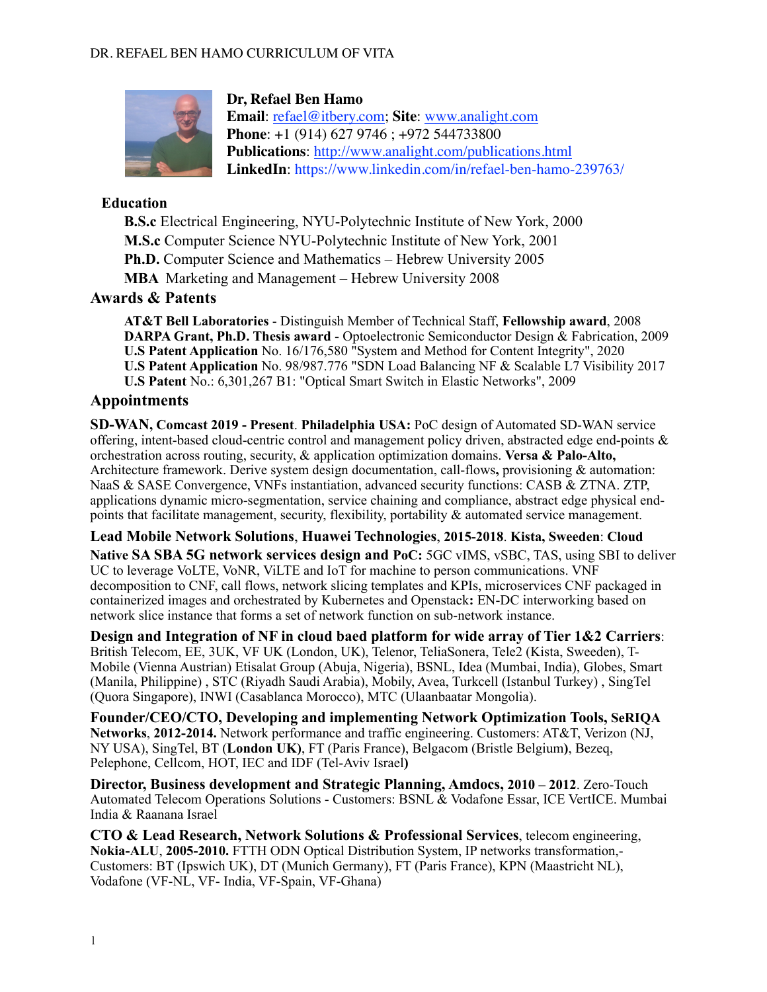

### **Dr, Refael Ben Hamo**

**Email**: [refael@itbery.com](mailto:refael@itbery.com); **Site**: [www.analight.com](http://www.analight.com) **Phone**: +1 (914) 627 9746 ; +972 544733800 **Publications**: <http://www.analight.com/publications.html> **LinkedIn**: https://www.linkedin.com/in/refael-ben-hamo-239763/

### **Education**

**B.S.c** Electrical Engineering, NYU-Polytechnic Institute of New York, 2000 **M.S.c** Computer Science NYU-Polytechnic Institute of New York, 2001 **Ph.D.** Computer Science and Mathematics – Hebrew University 2005 **MBA** Marketing and Management – Hebrew University 2008

## **Awards & Patents**

**AT&T Bell Laboratories** - Distinguish Member of Technical Staff, **Fellowship award**, 2008 **DARPA Grant, Ph.D. Thesis award** - Optoelectronic Semiconductor Design & Fabrication, 2009 **U.S Patent Application** No. 16/176,580 "System and Method for Content Integrity", 2020 **U.S Patent Application** No. 98/987.776 "SDN Load Balancing NF & Scalable L7 Visibility 2017 **U.S Patent** No.: 6,301,267 B1: "Optical Smart Switch in Elastic Networks", 2009

## **Appointments**

**SD-WAN, Comcast 2019 - Present**. **Philadelphia USA:** PoC design of Automated SD-WAN service offering, intent-based cloud-centric control and management policy driven, abstracted edge end-points & orchestration across routing, security, & application optimization domains. **Versa & Palo-Alto,**  Architecture framework. Derive system design documentation, call-flows**,** provisioning & automation: NaaS & SASE Convergence, VNFs instantiation, advanced security functions: CASB & ZTNA. ZTP, applications dynamic micro-segmentation, service chaining and compliance, abstract edge physical endpoints that facilitate management, security, flexibility, portability & automated service management.

**Lead Mobile Network Solutions**, **Huawei Technologies**, **2015-2018**. **Kista, Sweeden**: **Cloud Native SA SBA 5G network services design and PoC:** 5GC vIMS, vSBC, TAS, using SBI to deliver UC to leverage VoLTE, VoNR, ViLTE and IoT for machine to person communications. VNF decomposition to CNF, call flows, network slicing templates and KPIs, microservices CNF packaged in containerized images and orchestrated by Kubernetes and Openstack**:** EN-DC interworking based on network slice instance that forms a set of network function on sub-network instance.

**Design and Integration of NF in cloud baed platform for wide array of Tier 1&2 Carriers**: British Telecom, EE, 3UK, VF UK (London, UK), Telenor, TeliaSonera, Tele2 (Kista, Sweeden), T-Mobile (Vienna Austrian) Etisalat Group (Abuja, Nigeria), BSNL, Idea (Mumbai, India), Globes, Smart (Manila, Philippine) , STC (Riyadh Saudi Arabia), Mobily, Avea, Turkcell (Istanbul Turkey) , SingTel (Quora Singapore), INWI (Casablanca Morocco), MTC (Ulaanbaatar Mongolia).

**Founder/CEO/CTO, Developing and implementing Network Optimization Tools, SeRIQA Networks**, **2012-2014.** Network performance and traffic engineering. Customers: AT&T, Verizon (NJ, NY USA), SingTel, BT (**London UK)**, FT (Paris France), Belgacom (Bristle Belgium**)**, Bezeq, Pelephone, Cellcom, HOT, IEC and IDF (Tel-Aviv Israel**)** 

**Director, Business development and Strategic Planning, Amdocs, 2010 – 2012**. Zero-Touch Automated Telecom Operations Solutions - Customers: BSNL & Vodafone Essar, ICE VertICE. Mumbai India & Raanana Israel

**CTO & Lead Research, Network Solutions & Professional Services**, telecom engineering, **Nokia-ALU**, **2005-2010.** FTTH ODN Optical Distribution System, IP networks transformation,- Customers: BT (Ipswich UK), DT (Munich Germany), FT (Paris France), KPN (Maastricht NL), Vodafone (VF-NL, VF- India, VF-Spain, VF-Ghana)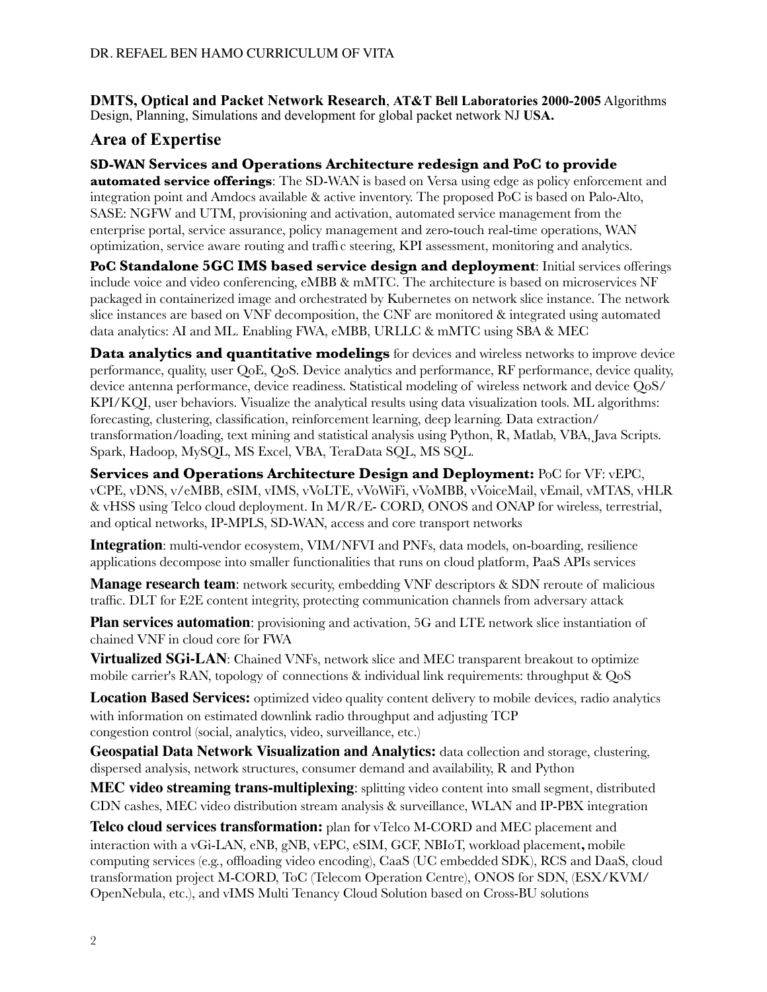**DMTS, Optical and Packet Network Research**, **AT&T Bell Laboratories 2000-2005** Algorithms Design, Planning, Simulations and development for global packet network NJ **USA.**

# **Area of Expertise**

**SD-WAN Services and Operations Architecture redesign and PoC to provide automated service offerings**: The SD-WAN is based on Versa using edge as policy enforcement and integration point and Amdocs available & active inventory. The proposed PoC is based on Palo-Alto, SASE: NGFW and UTM, provisioning and activation, automated service management from the enterprise portal, service assurance, policy management and zero-touch real-time operations, WAN optimization, service aware routing and traffi c steering, KPI assessment, monitoring and analytics.

**PoC Standalone 5GC IMS based service design and deployment**: Initial services offerings include voice and video conferencing, eMBB & mMTC. The architecture is based on microservices NF packaged in containerized image and orchestrated by Kubernetes on network slice instance. The network slice instances are based on VNF decomposition, the CNF are monitored & integrated using automated data analytics: AI and ML. Enabling FWA, eMBB, URLLC & mMTC using SBA & MEC

**Data analytics and quantitative modelings** for devices and wireless networks to improve device performance, quality, user QoE, QoS. Device analytics and performance, RF performance, device quality, device antenna performance, device readiness. Statistical modeling of wireless network and device QoS/ KPI/KQI, user behaviors. Visualize the analytical results using data visualization tools. ML algorithms: forecasting, clustering, classification, reinforcement learning, deep learning. Data extraction/ transformation/loading, text mining and statistical analysis using Python, R, Matlab, VBA, Java Scripts. Spark, Hadoop, MySQL, MS Excel, VBA, TeraData SQL, MS SQL.

**Services and Operations Architecture Design and Deployment:** PoC for VF: vEPC, vCPE, vDNS, v/eMBB, eSIM, vIMS, vVoLTE, vVoWiFi, vVoMBB, vVoiceMail, vEmail, vMTAS, vHLR & vHSS using Telco cloud deployment. In M/R/E- CORD, ONOS and ONAP for wireless, terrestrial, and optical networks, IP-MPLS, SD-WAN, access and core transport networks

**Integration**: multi-vendor ecosystem, VIM/NFVI and PNFs, data models, on-boarding, resilience applications decompose into smaller functionalities that runs on cloud platform, PaaS APIs services

**Manage research team**: network security, embedding VNF descriptors & SDN reroute of malicious traffic. DLT for E2E content integrity, protecting communication channels from adversary attack

**Plan services automation**: provisioning and activation, 5G and LTE network slice instantiation of chained VNF in cloud core for FWA

**Virtualized SGi-LAN**: Chained VNFs, network slice and MEC transparent breakout to optimize mobile carrier's RAN, topology of connections & individual link requirements: throughput & QoS

**Location Based Services:** optimized video quality content delivery to mobile devices, radio analytics with information on estimated downlink radio throughput and adjusting TCP congestion control (social, analytics, video, surveillance, etc.)

**Geospatial Data Network Visualization and Analytics:** data collection and storage, clustering, dispersed analysis, network structures, consumer demand and availability, R and Python

**MEC video streaming trans-multiplexing**: splitting video content into small segment, distributed CDN cashes, MEC video distribution stream analysis & surveillance, WLAN and IP-PBX integration

**Telco cloud services transformation:** plan for vTelco M-CORD and MEC placement and interaction with a vGi-LAN, eNB, gNB, vEPC, eSIM, GCF, NBIoT, workload placement**,** mobile computing services (e.g., offloading video encoding), CaaS (UC embedded SDK), RCS and DaaS, cloud transformation project M-CORD, ToC (Telecom Operation Centre), ONOS for SDN, (ESX/KVM/ OpenNebula, etc.), and vIMS Multi Tenancy Cloud Solution based on Cross-BU solutions